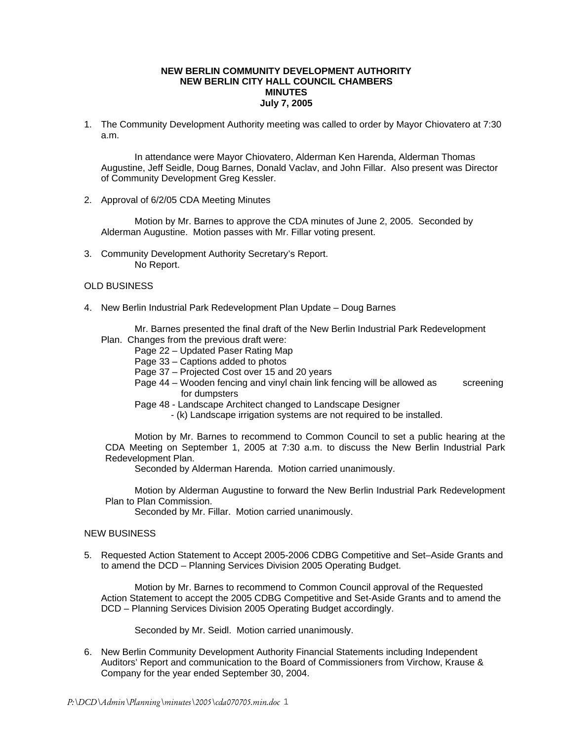## **NEW BERLIN COMMUNITY DEVELOPMENT AUTHORITY NEW BERLIN CITY HALL COUNCIL CHAMBERS MINUTES July 7, 2005**

1. The Community Development Authority meeting was called to order by Mayor Chiovatero at 7:30 a.m.

In attendance were Mayor Chiovatero, Alderman Ken Harenda, Alderman Thomas Augustine, Jeff Seidle, Doug Barnes, Donald Vaclav, and John Fillar. Also present was Director of Community Development Greg Kessler.

2. Approval of 6/2/05 CDA Meeting Minutes

Motion by Mr. Barnes to approve the CDA minutes of June 2, 2005. Seconded by Alderman Augustine. Motion passes with Mr. Fillar voting present.

3. Community Development Authority Secretary's Report. No Report.

## OLD BUSINESS

- 4. New Berlin Industrial Park Redevelopment Plan Update Doug Barnes
	- Mr. Barnes presented the final draft of the New Berlin Industrial Park Redevelopment Plan. Changes from the previous draft were:
		- Page 22 Updated Paser Rating Map
		- Page 33 Captions added to photos
		- Page 37 Projected Cost over 15 and 20 years
		- Page 44 Wooden fencing and vinyl chain link fencing will be allowed as screening for dumpsters
		- Page 48 Landscape Architect changed to Landscape Designer
			- (k) Landscape irrigation systems are not required to be installed.

 Motion by Mr. Barnes to recommend to Common Council to set a public hearing at the CDA Meeting on September 1, 2005 at 7:30 a.m. to discuss the New Berlin Industrial Park Redevelopment Plan.

Seconded by Alderman Harenda. Motion carried unanimously.

 Motion by Alderman Augustine to forward the New Berlin Industrial Park Redevelopment Plan to Plan Commission.

Seconded by Mr. Fillar. Motion carried unanimously.

## NEW BUSINESS

5. Requested Action Statement to Accept 2005-2006 CDBG Competitive and Set–Aside Grants and to amend the DCD – Planning Services Division 2005 Operating Budget.

 Motion by Mr. Barnes to recommend to Common Council approval of the Requested Action Statement to accept the 2005 CDBG Competitive and Set-Aside Grants and to amend the DCD – Planning Services Division 2005 Operating Budget accordingly.

Seconded by Mr. Seidl. Motion carried unanimously.

6. New Berlin Community Development Authority Financial Statements including Independent Auditors' Report and communication to the Board of Commissioners from Virchow, Krause & Company for the year ended September 30, 2004.